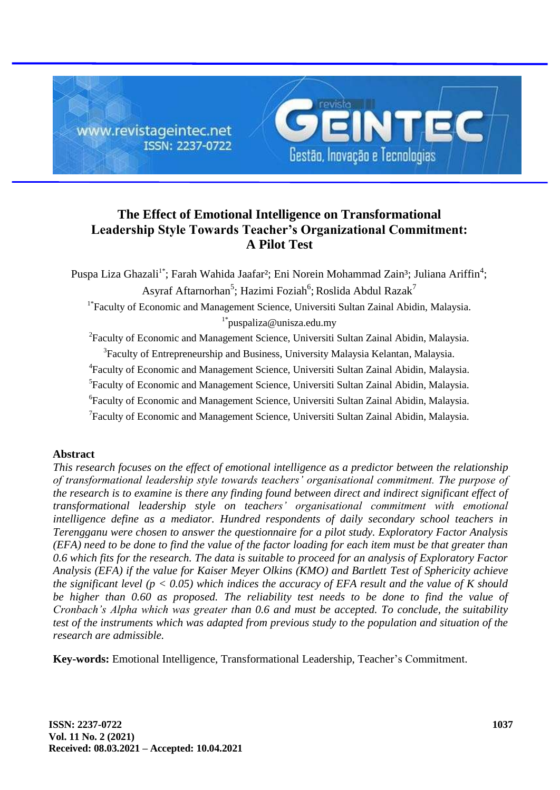

# **The Effect of Emotional Intelligence on Transformational Leadership Style Towards Teacher's Organizational Commitment: A Pilot Test**

Puspa Liza Ghazali<sup>1\*</sup>; Farah Wahida Jaafar<sup>2</sup>; Eni Norein Mohammad Zain<sup>3</sup>; Juliana Ariffin<sup>4</sup>; Asyraf Aftarnorhan<sup>5</sup>; Hazimi Foziah<sup>6</sup>; Roslida Abdul Razak<sup>7</sup> <sup>1\*</sup>Faculty of Economic and Management Science, Universiti Sultan Zainal Abidin, Malaysia.  $1^*$ puspaliza@unisza.edu.my <sup>2</sup>Faculty of Economic and Management Science, Universiti Sultan Zainal Abidin, Malaysia. <sup>3</sup> Faculty of Entrepreneurship and Business, University Malaysia Kelantan, Malaysia. 4 Faculty of Economic and Management Science, Universiti Sultan Zainal Abidin, Malaysia. <sup>5</sup>Faculty of Economic and Management Science, Universiti Sultan Zainal Abidin, Malaysia. 6 Faculty of Economic and Management Science, Universiti Sultan Zainal Abidin, Malaysia.

<sup>7</sup>Faculty of Economic and Management Science, Universiti Sultan Zainal Abidin, Malaysia.

### **Abstract**

*This research focuses on the effect of emotional intelligence as a predictor between the relationship of transformational leadership style towards teachers' organisational commitment. The purpose of the research is to examine is there any finding found between direct and indirect significant effect of transformational leadership style on teachers' organisational commitment with emotional intelligence define as a mediator. Hundred respondents of daily secondary school teachers in Terengganu were chosen to answer the questionnaire for a pilot study. Exploratory Factor Analysis (EFA) need to be done to find the value of the factor loading for each item must be that greater than 0.6 which fits for the research. The data is suitable to proceed for an analysis of Exploratory Factor Analysis (EFA) if the value for Kaiser Meyer Olkins (KMO) and Bartlett Test of Sphericity achieve the significant level (p < 0.05) which indices the accuracy of EFA result and the value of K should*  be higher than 0.60 as proposed. The reliability test needs to be done to find the value of *Cronbach's Alpha which was greater than 0.6 and must be accepted. To conclude, the suitability test of the instruments which was adapted from previous study to the population and situation of the research are admissible.*

**Key-words:** Emotional Intelligence, Transformational Leadership, Teacher's Commitment.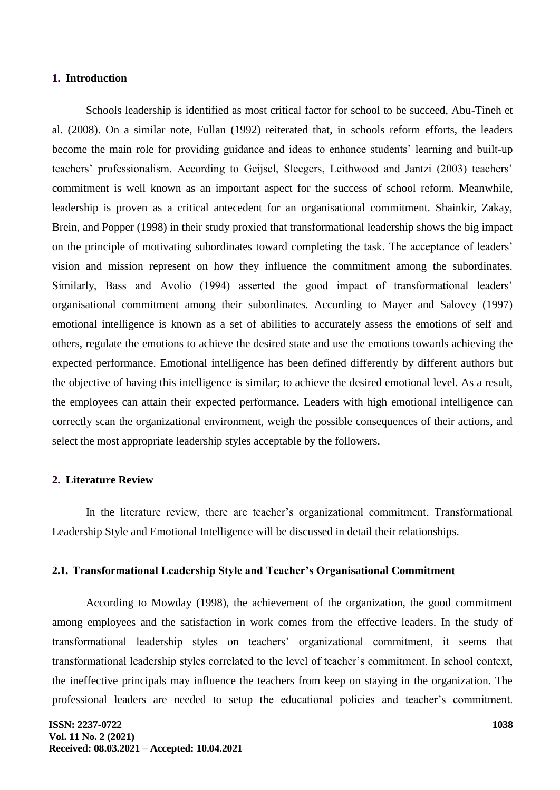#### **1. Introduction**

Schools leadership is identified as most critical factor for school to be succeed, Abu-Tineh et al. (2008). On a similar note, Fullan (1992) reiterated that, in schools reform efforts, the leaders become the main role for providing guidance and ideas to enhance students' learning and built-up teachers' professionalism. According to Geijsel, Sleegers, Leithwood and Jantzi (2003) teachers' commitment is well known as an important aspect for the success of school reform. Meanwhile, leadership is proven as a critical antecedent for an organisational commitment. Shainkir, Zakay, Brein, and Popper (1998) in their study proxied that transformational leadership shows the big impact on the principle of motivating subordinates toward completing the task. The acceptance of leaders' vision and mission represent on how they influence the commitment among the subordinates. Similarly, Bass and Avolio (1994) asserted the good impact of transformational leaders' organisational commitment among their subordinates. According to Mayer and Salovey (1997) emotional intelligence is known as a set of abilities to accurately assess the emotions of self and others, regulate the emotions to achieve the desired state and use the emotions towards achieving the expected performance. Emotional intelligence has been defined differently by different authors but the objective of having this intelligence is similar; to achieve the desired emotional level. As a result, the employees can attain their expected performance. Leaders with high emotional intelligence can correctly scan the organizational environment, weigh the possible consequences of their actions, and select the most appropriate leadership styles acceptable by the followers.

#### **2. Literature Review**

In the literature review, there are teacher's organizational commitment, Transformational Leadership Style and Emotional Intelligence will be discussed in detail their relationships.

#### **2.1. Transformational Leadership Style and Teacher's Organisational Commitment**

According to Mowday (1998), the achievement of the organization, the good commitment among employees and the satisfaction in work comes from the effective leaders. In the study of transformational leadership styles on teachers' organizational commitment, it seems that transformational leadership styles correlated to the level of teacher's commitment. In school context, the ineffective principals may influence the teachers from keep on staying in the organization. The professional leaders are needed to setup the educational policies and teacher's commitment.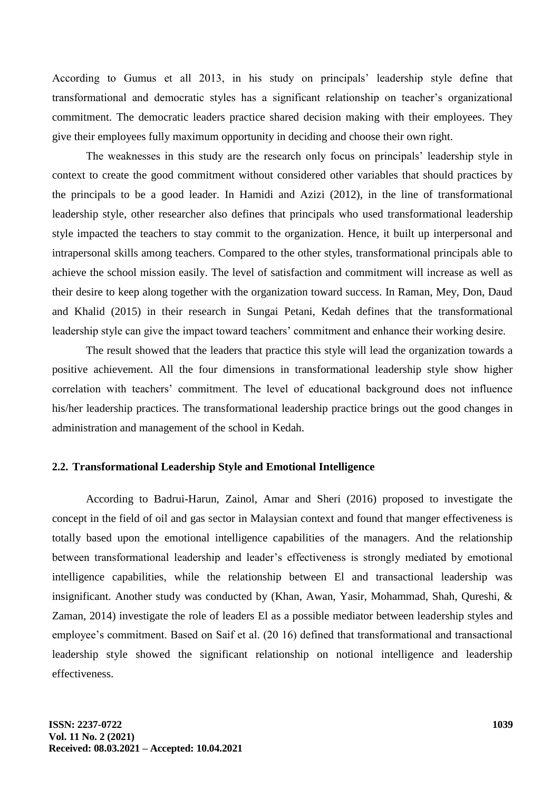According to Gumus et all 2013, in his study on principals' leadership style define that transformational and democratic styles has a significant relationship on teacher's organizational commitment. The democratic leaders practice shared decision making with their employees. They give their employees fully maximum opportunity in deciding and choose their own right.

The weaknesses in this study are the research only focus on principals' leadership style in context to create the good commitment without considered other variables that should practices by the principals to be a good leader. In Hamidi and Azizi (2012), in the line of transformational leadership style, other researcher also defines that principals who used transformational leadership style impacted the teachers to stay commit to the organization. Hence, it built up interpersonal and intrapersonal skills among teachers. Compared to the other styles, transformational principals able to achieve the school mission easily. The level of satisfaction and commitment will increase as well as their desire to keep along together with the organization toward success. In Raman, Mey, Don, Daud and Khalid (2015) in their research in Sungai Petani, Kedah defines that the transformational leadership style can give the impact toward teachers' commitment and enhance their working desire.

The result showed that the leaders that practice this style will lead the organization towards a positive achievement. All the four dimensions in transformational leadership style show higher correlation with teachers' commitment. The level of educational background does not influence his/her leadership practices. The transformational leadership practice brings out the good changes in administration and management of the school in Kedah.

# **2.2. Transformational Leadership Style and Emotional Intelligence**

According to Badrui-Harun, Zainol, Amar and Sheri (2016) proposed to investigate the concept in the field of oil and gas sector in Malaysian context and found that manger effectiveness is totally based upon the emotional intelligence capabilities of the managers. And the relationship between transformational leadership and leader's effectiveness is strongly mediated by emotional intelligence capabilities, while the relationship between El and transactional leadership was insignificant. Another study was conducted by (Khan, Awan, Yasir, Mohammad, Shah, Qureshi, & Zaman, 2014) investigate the role of leaders El as a possible mediator between leadership styles and employee's commitment. Based on Saif et al. (20 16) defined that transformational and transactional leadership style showed the significant relationship on notional intelligence and leadership effectiveness.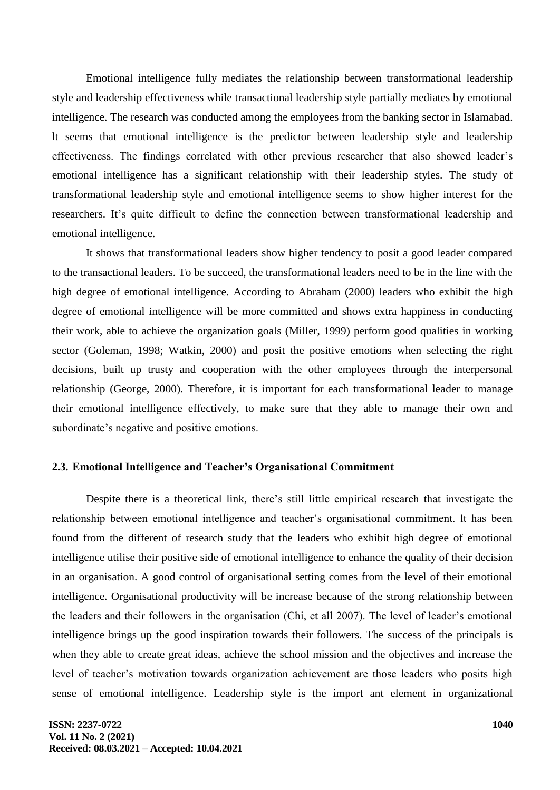Emotional intelligence fully mediates the relationship between transformational leadership style and leadership effectiveness while transactional leadership style partially mediates by emotional intelligence. The research was conducted among the employees from the banking sector in Islamabad. lt seems that emotional intelligence is the predictor between leadership style and leadership effectiveness. The findings correlated with other previous researcher that also showed leader's emotional intelligence has a significant relationship with their leadership styles. The study of transformational leadership style and emotional intelligence seems to show higher interest for the researchers. It's quite difficult to define the connection between transformational leadership and emotional intelligence.

It shows that transformational leaders show higher tendency to posit a good leader compared to the transactional leaders. To be succeed, the transformational leaders need to be in the line with the high degree of emotional intelligence. According to Abraham (2000) leaders who exhibit the high degree of emotional intelligence will be more committed and shows extra happiness in conducting their work, able to achieve the organization goals (Miller, 1999) perform good qualities in working sector (Goleman, 1998; Watkin, 2000) and posit the positive emotions when selecting the right decisions, built up trusty and cooperation with the other employees through the interpersonal relationship (George, 2000). Therefore, it is important for each transformational leader to manage their emotional intelligence effectively, to make sure that they able to manage their own and subordinate's negative and positive emotions.

# **2.3. Emotional Intelligence and Teacher's Organisational Commitment**

Despite there is a theoretical link, there's still little empirical research that investigate the relationship between emotional intelligence and teacher's organisational commitment. lt has been found from the different of research study that the leaders who exhibit high degree of emotional intelligence utilise their positive side of emotional intelligence to enhance the quality of their decision in an organisation. A good control of organisational setting comes from the level of their emotional intelligence. Organisational productivity will be increase because of the strong relationship between the leaders and their followers in the organisation (Chi, et all 2007). The level of leader's emotional intelligence brings up the good inspiration towards their followers. The success of the principals is when they able to create great ideas, achieve the school mission and the objectives and increase the level of teacher's motivation towards organization achievement are those leaders who posits high sense of emotional intelligence. Leadership style is the import ant element in organizational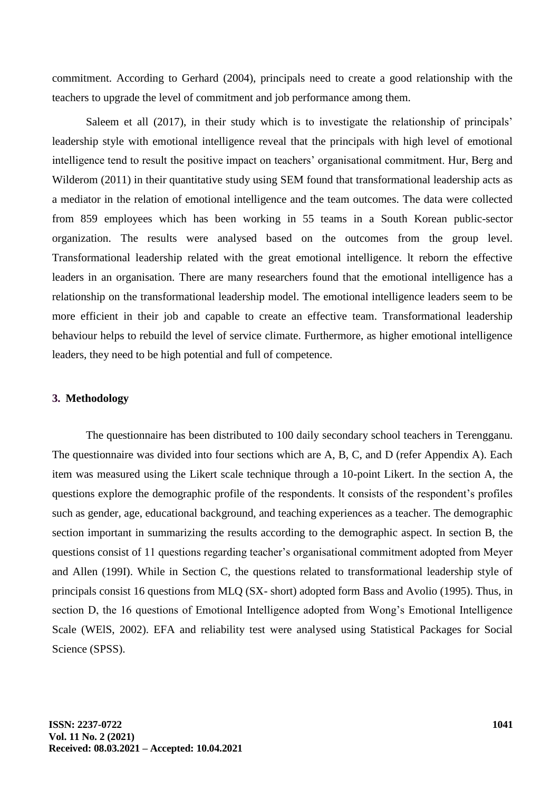commitment. According to Gerhard (2004), principals need to create a good relationship with the teachers to upgrade the level of commitment and job performance among them.

Saleem et all (2017), in their study which is to investigate the relationship of principals' leadership style with emotional intelligence reveal that the principals with high level of emotional intelligence tend to result the positive impact on teachers' organisational commitment. Hur, Berg and Wilderom (2011) in their quantitative study using SEM found that transformational leadership acts as a mediator in the relation of emotional intelligence and the team outcomes. The data were collected from 859 employees which has been working in 55 teams in a South Korean public-sector organization. The results were analysed based on the outcomes from the group level. Transformational leadership related with the great emotional intelligence. lt reborn the effective leaders in an organisation. There are many researchers found that the emotional intelligence has a relationship on the transformational leadership model. The emotional intelligence leaders seem to be more efficient in their job and capable to create an effective team. Transformational leadership behaviour helps to rebuild the level of service climate. Furthermore, as higher emotional intelligence leaders, they need to be high potential and full of competence.

#### **3. Methodology**

The questionnaire has been distributed to 100 daily secondary school teachers in Terengganu. The questionnaire was divided into four sections which are A, B, C, and D (refer Appendix A). Each item was measured using the Likert scale technique through a 10-point Likert. In the section A, the questions explore the demographic profile of the respondents. lt consists of the respondent's profiles such as gender, age, educational background, and teaching experiences as a teacher. The demographic section important in summarizing the results according to the demographic aspect. In section B, the questions consist of 11 questions regarding teacher's organisational commitment adopted from Meyer and Allen (199I). While in Section C, the questions related to transformational leadership style of principals consist 16 questions from MLQ (SX- short) adopted form Bass and Avolio (1995). Thus, in section D, the 16 questions of Emotional Intelligence adopted from Wong's Emotional Intelligence Scale (WElS, 2002). EFA and reliability test were analysed using Statistical Packages for Social Science (SPSS).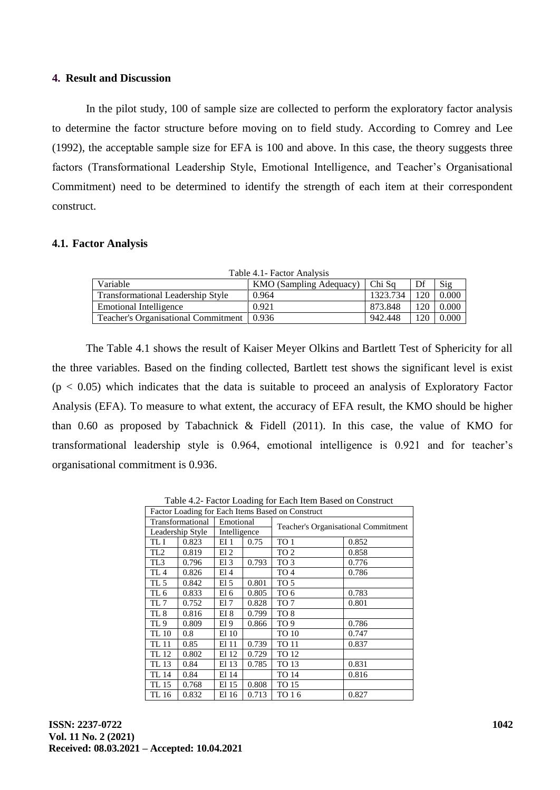#### **4. Result and Discussion**

In the pilot study, 100 of sample size are collected to perform the exploratory factor analysis to determine the factor structure before moving on to field study. According to Comrey and Lee (1992), the acceptable sample size for EFA is 100 and above. In this case, the theory suggests three factors (Transformational Leadership Style, Emotional Intelligence, and Teacher's Organisational Commitment) need to be determined to identify the strength of each item at their correspondent construct.

#### **4.1. Factor Analysis**

| Table 4.1 - Factor Analysis                |                                |          |     |       |  |  |  |  |
|--------------------------------------------|--------------------------------|----------|-----|-------|--|--|--|--|
| Variable                                   | <b>KMO</b> (Sampling Adequacy) | Chi Sa   | Df  | Sig   |  |  |  |  |
| <b>Transformational Leadership Style</b>   | 0.964                          | 1323.734 | 120 | 0.000 |  |  |  |  |
| Emotional Intelligence                     | 0.921                          | 873.848  | 120 | 0.000 |  |  |  |  |
| <b>Teacher's Organisational Commitment</b> | 0.936                          | 942.448  | 120 | 0.000 |  |  |  |  |

The Table 4.1 shows the result of Kaiser Meyer Olkins and Bartlett Test of Sphericity for all the three variables. Based on the finding collected, Bartlett test shows the significant level is exist  $(p < 0.05)$  which indicates that the data is suitable to proceed an analysis of Exploratory Factor Analysis (EFA). To measure to what extent, the accuracy of EFA result, the KMO should be higher than 0.60 as proposed by Tabachnick & Fidell (2011). In this case, the value of KMO for transformational leadership style is 0.964, emotional intelligence is 0.921 and for teacher's organisational commitment is 0.936.

Table 4.2- Factor Loading for Each Item Based on Construct

| Factor Loading for Each Items Based on Construct |       |              |       |                                            |       |  |
|--------------------------------------------------|-------|--------------|-------|--------------------------------------------|-------|--|
| Transformational                                 |       | Emotional    |       | <b>Teacher's Organisational Commitment</b> |       |  |
| Leadership Style                                 |       | Intelligence |       |                                            |       |  |
| TL I                                             | 0.823 | EI 1         | 0.75  | TO 1                                       | 0.852 |  |
| TL <sub>2</sub>                                  | 0.819 | El 2         |       | TO <sub>2</sub>                            | 0.858 |  |
| TL <sub>3</sub>                                  | 0.796 | E13          | 0.793 | TO 3                                       | 0.776 |  |
| TL <sub>4</sub>                                  | 0.826 | E14          |       | TO <sub>4</sub>                            | 0.786 |  |
| TL <sub>5</sub>                                  | 0.842 | El 5         | 0.801 | TO 5                                       |       |  |
| TL 6                                             | 0.833 | El 6         | 0.805 | TO 6                                       | 0.783 |  |
| TL 7                                             | 0.752 | El 7         | 0.828 | TO 7                                       | 0.801 |  |
| TL 8                                             | 0.816 | EI 8         | 0.799 | TO 8                                       |       |  |
| TL <sub>9</sub>                                  | 0.809 | El 9         | 0.866 | TO <sub>9</sub>                            | 0.786 |  |
| TL 10                                            | 0.8   | El 10        |       | TO 10                                      | 0.747 |  |
| TL 11                                            | 0.85  | El 11        | 0.739 | <b>TO 11</b>                               | 0.837 |  |
| TL 12                                            | 0.802 | El 12        | 0.729 | TO 12                                      |       |  |
| TL 13                                            | 0.84  | El 13        | 0.785 | TO 13                                      | 0.831 |  |
| TL 14                                            | 0.84  | El 14        |       | TO 14                                      | 0.816 |  |
| TL 15                                            | 0.768 | El 15        | 0.808 | TO 15                                      |       |  |
| TL 16                                            | 0.832 | El 16        | 0.713 | TO 16                                      | 0.827 |  |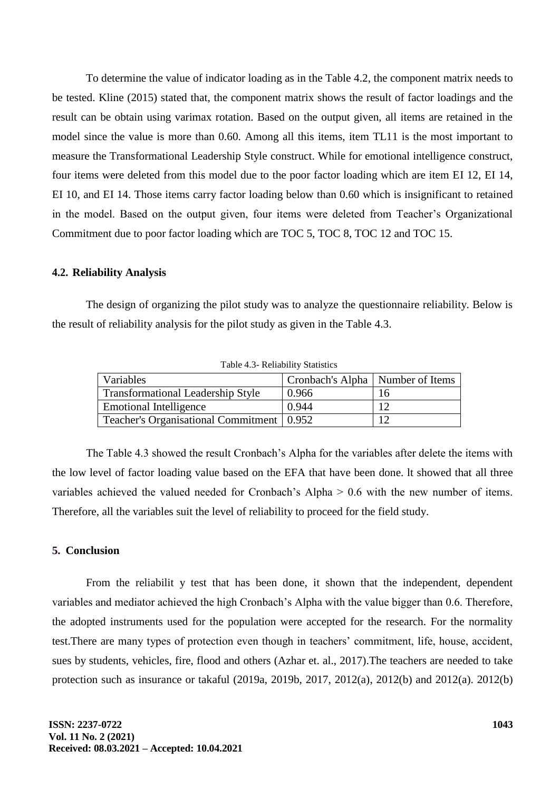To determine the value of indicator loading as in the Table 4.2, the component matrix needs to be tested. Kline (2015) stated that, the component matrix shows the result of factor loadings and the result can be obtain using varimax rotation. Based on the output given, all items are retained in the model since the value is more than 0.60. Among all this items, item TL11 is the most important to measure the Transformational Leadership Style construct. While for emotional intelligence construct, four items were deleted from this model due to the poor factor loading which are item EI 12, EI 14, EI 10, and EI 14. Those items carry factor loading below than 0.60 which is insignificant to retained in the model. Based on the output given, four items were deleted from Teacher's Organizational Commitment due to poor factor loading which are TOC 5, TOC 8, TOC 12 and TOC 15.

#### **4.2. Reliability Analysis**

The design of organizing the pilot study was to analyze the questionnaire reliability. Below is the result of reliability analysis for the pilot study as given in the Table 4.3.

| Variables                                   | Cronbach's Alpha   Number of Items |     |
|---------------------------------------------|------------------------------------|-----|
| Transformational Leadership Style           | 0.966                              | 16  |
| <b>Emotional Intelligence</b>               | 0.944                              |     |
| Teacher's Organisational Commitment   0.952 |                                    | 1 ລ |

Table 4.3- Reliability Statistics

The Table 4.3 showed the result Cronbach's Alpha for the variables after delete the items with the low level of factor loading value based on the EFA that have been done. lt showed that all three variables achieved the valued needed for Cronbach's Alpha > 0.6 with the new number of items. Therefore, all the variables suit the level of reliability to proceed for the field study.

#### **5. Conclusion**

From the reliabilit y test that has been done, it shown that the independent, dependent variables and mediator achieved the high Cronbach's Alpha with the value bigger than 0.6. Therefore, the adopted instruments used for the population were accepted for the research. For the normality test.There are many types of protection even though in teachers' commitment, life, house, accident, sues by students, vehicles, fire, flood and others (Azhar et. al., 2017).The teachers are needed to take protection such as insurance or takaful (2019a, 2019b, 2017, 2012(a), 2012(b) and 2012(a). 2012(b)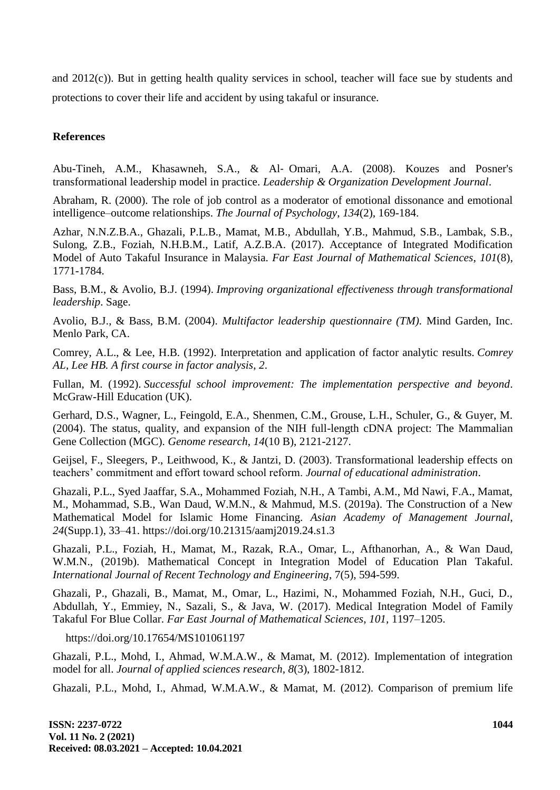and 2012(c)). But in getting health quality services in school, teacher will face sue by students and protections to cover their life and accident by using takaful or insurance.

# **References**

Abu-Tineh, A.M., Khasawneh, S.A., & Al‐ Omari, A.A. (2008). Kouzes and Posner's transformational leadership model in practice. *Leadership & Organization Development Journal*.

Abraham, R. (2000). The role of job control as a moderator of emotional dissonance and emotional intelligence–outcome relationships. *The Journal of Psychology*, *134*(2), 169-184.

Azhar, N.N.Z.B.A., Ghazali, P.L.B., Mamat, M.B., Abdullah, Y.B., Mahmud, S.B., Lambak, S.B., Sulong, Z.B., Foziah, N.H.B.M., Latif, A.Z.B.A. (2017). Acceptance of Integrated Modification Model of Auto Takaful Insurance in Malaysia. *Far East Journal of Mathematical Sciences*, *101*(8), 1771-1784.

Bass, B.M., & Avolio, B.J. (1994). *Improving organizational effectiveness through transformational leadership*. Sage.

Avolio, B.J., & Bass, B.M. (2004). *Multifactor leadership questionnaire (TM).* Mind Garden, Inc. Menlo Park, CA.

Comrey, A.L., & Lee, H.B. (1992). Interpretation and application of factor analytic results. *Comrey AL, Lee HB. A first course in factor analysis*, *2*.

Fullan, M. (1992). *Successful school improvement: The implementation perspective and beyond*. McGraw-Hill Education (UK).

Gerhard, D.S., Wagner, L., Feingold, E.A., Shenmen, C.M., Grouse, L.H., Schuler, G., & Guyer, M. (2004). The status, quality, and expansion of the NIH full-length cDNA project: The Mammalian Gene Collection (MGC). *Genome research*, *14*(10 B), 2121-2127.

Geijsel, F., Sleegers, P., Leithwood, K., & Jantzi, D. (2003). Transformational leadership effects on teachers' commitment and effort toward school reform. *Journal of educational administration*.

Ghazali, P.L., Syed Jaaffar, S.A., Mohammed Foziah, N.H., A Tambi, A.M., Md Nawi, F.A., Mamat, M., Mohammad, S.B., Wan Daud, W.M.N., & Mahmud, M.S. (2019a). The Construction of a New Mathematical Model for Islamic Home Financing. *Asian Academy of Management Journal*, *24*(Supp.1), 33–41. https://doi.org/10.21315/aamj2019.24.s1.3

Ghazali, P.L., Foziah, H., Mamat, M., Razak, R.A., Omar, L., Afthanorhan, A., & Wan Daud, W.M.N., (2019b). Mathematical Concept in Integration Model of Education Plan Takaful. *International Journal of Recent Technology and Engineering*, 7(5), 594-599.

Ghazali, P., Ghazali, B., Mamat, M., Omar, L., Hazimi, N., Mohammed Foziah, N.H., Guci, D., Abdullah, Y., Emmiey, N., Sazali, S., & Java, W. (2017). Medical Integration Model of Family Takaful For Blue Collar. *Far East Journal of Mathematical Sciences*, *101,* 1197–1205.

https://doi.org/10.17654/MS101061197

Ghazali, P.L., Mohd, I., Ahmad, W.M.A.W., & Mamat, M. (2012). Implementation of integration model for all. *Journal of applied sciences research, 8*(3), 1802-1812.

Ghazali, P.L., Mohd, I., Ahmad, W.M.A.W., & Mamat, M. (2012). Comparison of premium life